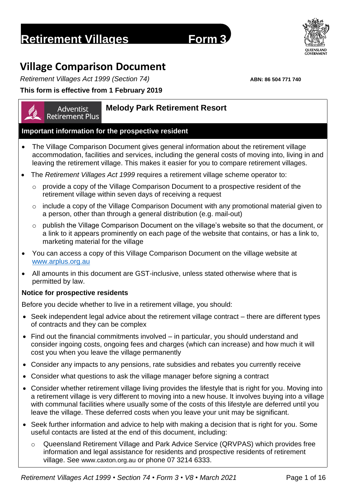# **Retirement Villages Form 3**

# **Village Comparison Document**

*Retirement Villages Act 1999 (Section 74)* **ABN: 86 504 771 740**

# **This form is effective from 1 February 2019**

#### **Melody Park Retirement Resort** Adventist

**Retirement Plus** 

# **Important information for the prospective resident**

- The Village Comparison Document gives general information about the retirement village accommodation, facilities and services, including the general costs of moving into, living in and leaving the retirement village. This makes it easier for you to compare retirement villages.
- The *Retirement Villages Act 1999* requires a retirement village scheme operator to:
	- o provide a copy of the Village Comparison Document to a prospective resident of the retirement village within seven days of receiving a request
	- o include a copy of the Village Comparison Document with any promotional material given to a person, other than through a general distribution (e.g. mail-out)
	- o publish the Village Comparison Document on the village's website so that the document, or a link to it appears prominently on each page of the website that contains, or has a link to, marketing material for the village
- You can access a copy of this Village Comparison Document on the village website at [www.arplus.org.au](http://www.arplus.org.au/)
- All amounts in this document are GST-inclusive, unless stated otherwise where that is permitted by law.

# **Notice for prospective residents**

Before you decide whether to live in a retirement village, you should:

- Seek independent legal advice about the retirement village contract there are different types of contracts and they can be complex
- Find out the financial commitments involved in particular, you should understand and consider ingoing costs, ongoing fees and charges (which can increase) and how much it will cost you when you leave the village permanently
- Consider any impacts to any pensions, rate subsidies and rebates you currently receive
- Consider what questions to ask the village manager before signing a contract
- Consider whether retirement village living provides the lifestyle that is right for you. Moving into a retirement village is very different to moving into a new house. It involves buying into a village with communal facilities where usually some of the costs of this lifestyle are deferred until you leave the village. These deferred costs when you leave your unit may be significant.
- Seek further information and advice to help with making a decision that is right for you. Some useful contacts are listed at the end of this document, including:
	- o Queensland Retirement Village and Park Advice Service (QRVPAS) which provides free information and legal assistance for residents and prospective residents of retirement village. See [www.caxton.org.au](http://www.caxton.org.au/) or phone 07 3214 6333.

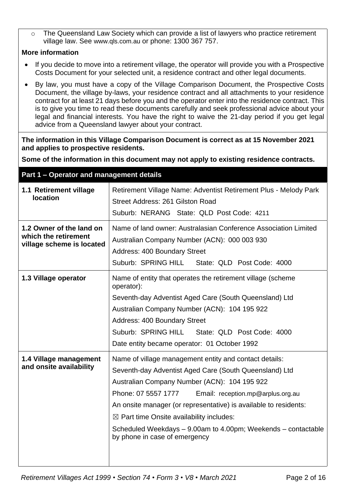o The Queensland Law Society which can provide a list of lawyers who practice retirement village law. See [www.qls.com.au](http://www.qls.com.au/) or phone: 1300 367 757.

### **More information**

- If you decide to move into a retirement village, the operator will provide you with a Prospective Costs Document for your selected unit, a residence contract and other legal documents.
- By law, you must have a copy of the Village Comparison Document, the Prospective Costs Document, the village by-laws, your residence contract and all attachments to your residence contract for at least 21 days before you and the operator enter into the residence contract. This is to give you time to read these documents carefully and seek professional advice about your legal and financial interests. You have the right to waive the 21-day period if you get legal advice from a Queensland lawyer about your contract.

**The information in this Village Comparison Document is correct as at 15 November 2021 and applies to prospective residents.**

**Some of the information in this document may not apply to existing residence contracts.**

# **Part 1 – Operator and management details 1.1 Retirement village location** Retirement Village Name: Adventist Retirement Plus - Melody Park Street Address: 261 Gilston Road Suburb: NERANG State: QLD Post Code: 4211 **1.2 Owner of the land on which the retirement village scheme is located**  Name of land owner: Australasian Conference Association Limited Australian Company Number (ACN): 000 003 930 Address: 400 Boundary Street Suburb: SPRING HILL State: QLD Post Code: 4000 **1.3 Village operator** | Name of entity that operates the retirement village (scheme operator): Seventh-day Adventist Aged Care (South Queensland) Ltd Australian Company Number (ACN): 104 195 922 Address: 400 Boundary Street Suburb: SPRING HILL State: QLD Post Code: 4000 Date entity became operator: 01 October 1992 **1.4 Village management and onsite availability** Name of village management entity and contact details: Seventh-day Adventist Aged Care (South Queensland) Ltd Australian Company Number (ACN): 104 195 922 Phone: 07 5557 1777 Email: reception.mp@arplus.org.au An onsite manager (or representative) is available to residents:  $\boxtimes$  Part time Onsite availability includes: Scheduled Weekdays – 9.00am to 4.00pm; Weekends – contactable by phone in case of emergency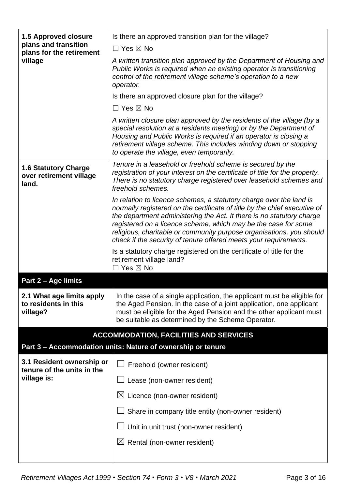| <b>1.5 Approved closure</b>                                     | Is there an approved transition plan for the village?                                                                                                                                                                                                                                                                                                                                                                                   |  |  |
|-----------------------------------------------------------------|-----------------------------------------------------------------------------------------------------------------------------------------------------------------------------------------------------------------------------------------------------------------------------------------------------------------------------------------------------------------------------------------------------------------------------------------|--|--|
| plans and transition<br>plans for the retirement                | $\Box$ Yes $\boxtimes$ No                                                                                                                                                                                                                                                                                                                                                                                                               |  |  |
| village                                                         | A written transition plan approved by the Department of Housing and<br>Public Works is required when an existing operator is transitioning<br>control of the retirement village scheme's operation to a new<br>operator.                                                                                                                                                                                                                |  |  |
|                                                                 | Is there an approved closure plan for the village?                                                                                                                                                                                                                                                                                                                                                                                      |  |  |
|                                                                 | $\Box$ Yes $\boxtimes$ No                                                                                                                                                                                                                                                                                                                                                                                                               |  |  |
|                                                                 | A written closure plan approved by the residents of the village (by a<br>special resolution at a residents meeting) or by the Department of<br>Housing and Public Works is required if an operator is closing a<br>retirement village scheme. This includes winding down or stopping<br>to operate the village, even temporarily.                                                                                                       |  |  |
| <b>1.6 Statutory Charge</b><br>over retirement village<br>land. | Tenure in a leasehold or freehold scheme is secured by the<br>registration of your interest on the certificate of title for the property.<br>There is no statutory charge registered over leasehold schemes and<br>freehold schemes.                                                                                                                                                                                                    |  |  |
|                                                                 | In relation to licence schemes, a statutory charge over the land is<br>normally registered on the certificate of title by the chief executive of<br>the department administering the Act. It there is no statutory charge<br>registered on a licence scheme, which may be the case for some<br>religious, charitable or community purpose organisations, you should<br>check if the security of tenure offered meets your requirements. |  |  |
|                                                                 | Is a statutory charge registered on the certificate of title for the<br>retirement village land?<br>$\Box$ Yes $\boxtimes$ No                                                                                                                                                                                                                                                                                                           |  |  |
| Part 2 - Age limits                                             |                                                                                                                                                                                                                                                                                                                                                                                                                                         |  |  |
| 2.1 What age limits apply<br>to residents in this<br>village?   | In the case of a single application, the applicant must be eligible for<br>the Aged Pension. In the case of a joint application, one applicant<br>must be eligible for the Aged Pension and the other applicant must<br>be suitable as determined by the Scheme Operator.                                                                                                                                                               |  |  |
|                                                                 | <b>ACCOMMODATION, FACILITIES AND SERVICES</b>                                                                                                                                                                                                                                                                                                                                                                                           |  |  |
|                                                                 | Part 3 - Accommodation units: Nature of ownership or tenure                                                                                                                                                                                                                                                                                                                                                                             |  |  |
| 3.1 Resident ownership or<br>tenure of the units in the         | Freehold (owner resident)                                                                                                                                                                                                                                                                                                                                                                                                               |  |  |
| village is:                                                     | Lease (non-owner resident)                                                                                                                                                                                                                                                                                                                                                                                                              |  |  |
|                                                                 | $\boxtimes$ Licence (non-owner resident)                                                                                                                                                                                                                                                                                                                                                                                                |  |  |
|                                                                 | Share in company title entity (non-owner resident)                                                                                                                                                                                                                                                                                                                                                                                      |  |  |
|                                                                 |                                                                                                                                                                                                                                                                                                                                                                                                                                         |  |  |
|                                                                 | Unit in unit trust (non-owner resident)                                                                                                                                                                                                                                                                                                                                                                                                 |  |  |
|                                                                 | $\boxtimes$ Rental (non-owner resident)                                                                                                                                                                                                                                                                                                                                                                                                 |  |  |
|                                                                 |                                                                                                                                                                                                                                                                                                                                                                                                                                         |  |  |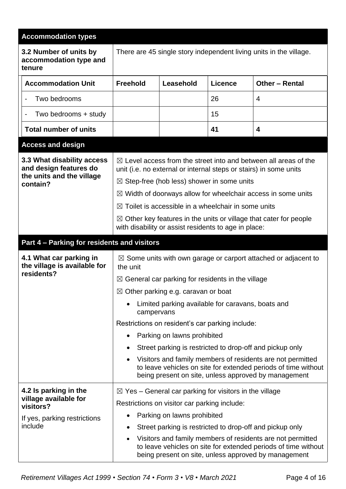| <b>Accommodation types</b>                                                                    |                                                                                                                                                                                                                                                                                                                                                                                                                                                                                                  |                                                 |                |                                                                                                                                                                                      |  |
|-----------------------------------------------------------------------------------------------|--------------------------------------------------------------------------------------------------------------------------------------------------------------------------------------------------------------------------------------------------------------------------------------------------------------------------------------------------------------------------------------------------------------------------------------------------------------------------------------------------|-------------------------------------------------|----------------|--------------------------------------------------------------------------------------------------------------------------------------------------------------------------------------|--|
| 3.2 Number of units by<br>accommodation type and<br>tenure                                    |                                                                                                                                                                                                                                                                                                                                                                                                                                                                                                  |                                                 |                | There are 45 single story independent living units in the village.                                                                                                                   |  |
| <b>Accommodation Unit</b>                                                                     | <b>Freehold</b>                                                                                                                                                                                                                                                                                                                                                                                                                                                                                  | Leasehold                                       | <b>Licence</b> | Other - Rental                                                                                                                                                                       |  |
| Two bedrooms                                                                                  |                                                                                                                                                                                                                                                                                                                                                                                                                                                                                                  |                                                 | 26             | 4                                                                                                                                                                                    |  |
| Two bedrooms + study<br>$\blacksquare$                                                        |                                                                                                                                                                                                                                                                                                                                                                                                                                                                                                  |                                                 | 15             |                                                                                                                                                                                      |  |
| <b>Total number of units</b>                                                                  |                                                                                                                                                                                                                                                                                                                                                                                                                                                                                                  |                                                 | 41             | 4                                                                                                                                                                                    |  |
| <b>Access and design</b>                                                                      |                                                                                                                                                                                                                                                                                                                                                                                                                                                                                                  |                                                 |                |                                                                                                                                                                                      |  |
| 3.3 What disability access<br>and design features do<br>the units and the village<br>contain? | $\boxtimes$ Level access from the street into and between all areas of the<br>unit (i.e. no external or internal steps or stairs) in some units<br>$\boxtimes$ Step-free (hob less) shower in some units<br>$\boxtimes$ Width of doorways allow for wheelchair access in some units<br>Toilet is accessible in a wheelchair in some units<br>$\boxtimes$<br>$\boxtimes$ Other key features in the units or village that cater for people<br>with disability or assist residents to age in place: |                                                 |                |                                                                                                                                                                                      |  |
| Part 4 - Parking for residents and visitors                                                   |                                                                                                                                                                                                                                                                                                                                                                                                                                                                                                  |                                                 |                |                                                                                                                                                                                      |  |
| 4.1 What car parking in<br>the village is available for<br>residents?                         | $\boxtimes$ Some units with own garage or carport attached or adjacent to<br>the unit                                                                                                                                                                                                                                                                                                                                                                                                            |                                                 |                |                                                                                                                                                                                      |  |
|                                                                                               | $\boxtimes$ General car parking for residents in the village                                                                                                                                                                                                                                                                                                                                                                                                                                     |                                                 |                |                                                                                                                                                                                      |  |
|                                                                                               | $\boxtimes$ Other parking e.g. caravan or boat                                                                                                                                                                                                                                                                                                                                                                                                                                                   |                                                 |                |                                                                                                                                                                                      |  |
|                                                                                               | Limited parking available for caravans, boats and<br>campervans                                                                                                                                                                                                                                                                                                                                                                                                                                  |                                                 |                |                                                                                                                                                                                      |  |
|                                                                                               |                                                                                                                                                                                                                                                                                                                                                                                                                                                                                                  | Restrictions on resident's car parking include: |                |                                                                                                                                                                                      |  |
|                                                                                               | ٠                                                                                                                                                                                                                                                                                                                                                                                                                                                                                                | Parking on lawns prohibited                     |                |                                                                                                                                                                                      |  |
|                                                                                               |                                                                                                                                                                                                                                                                                                                                                                                                                                                                                                  |                                                 |                | Street parking is restricted to drop-off and pickup only                                                                                                                             |  |
|                                                                                               |                                                                                                                                                                                                                                                                                                                                                                                                                                                                                                  |                                                 |                | Visitors and family members of residents are not permitted<br>to leave vehicles on site for extended periods of time without<br>being present on site, unless approved by management |  |
| 4.2 Is parking in the                                                                         | $\boxtimes$ Yes – General car parking for visitors in the village                                                                                                                                                                                                                                                                                                                                                                                                                                |                                                 |                |                                                                                                                                                                                      |  |
| village available for<br>visitors?                                                            |                                                                                                                                                                                                                                                                                                                                                                                                                                                                                                  | Restrictions on visitor car parking include:    |                |                                                                                                                                                                                      |  |
| If yes, parking restrictions                                                                  |                                                                                                                                                                                                                                                                                                                                                                                                                                                                                                  | Parking on lawns prohibited                     |                |                                                                                                                                                                                      |  |
| include                                                                                       | $\bullet$                                                                                                                                                                                                                                                                                                                                                                                                                                                                                        |                                                 |                | Street parking is restricted to drop-off and pickup only                                                                                                                             |  |
|                                                                                               | ٠                                                                                                                                                                                                                                                                                                                                                                                                                                                                                                |                                                 |                | Visitors and family members of residents are not permitted<br>to leave vehicles on site for extended periods of time without<br>being present on site, unless approved by management |  |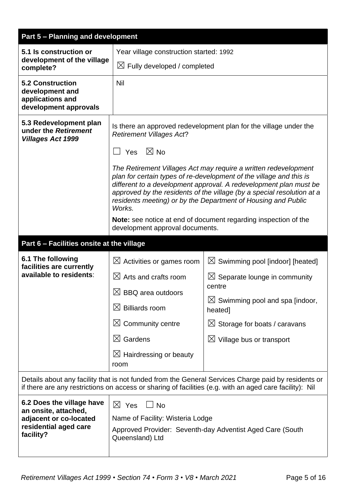| <b>Part 5 - Planning and development</b>                                                                          |                                                                                                                                                                                                                                                                                                                                                                                        |                                                                        |  |  |  |
|-------------------------------------------------------------------------------------------------------------------|----------------------------------------------------------------------------------------------------------------------------------------------------------------------------------------------------------------------------------------------------------------------------------------------------------------------------------------------------------------------------------------|------------------------------------------------------------------------|--|--|--|
| 5.1 Is construction or                                                                                            | Year village construction started: 1992                                                                                                                                                                                                                                                                                                                                                |                                                                        |  |  |  |
| development of the village<br>complete?                                                                           |                                                                                                                                                                                                                                                                                                                                                                                        | $\boxtimes$ Fully developed / completed                                |  |  |  |
| <b>5.2 Construction</b><br>development and<br>applications and<br>development approvals                           | <b>Nil</b>                                                                                                                                                                                                                                                                                                                                                                             |                                                                        |  |  |  |
| 5.3 Redevelopment plan<br>under the Retirement<br><b>Villages Act 1999</b>                                        | Is there an approved redevelopment plan for the village under the<br><b>Retirement Villages Act?</b>                                                                                                                                                                                                                                                                                   |                                                                        |  |  |  |
|                                                                                                                   | Yes $\boxtimes$ No<br>The Retirement Villages Act may require a written redevelopment<br>plan for certain types of re-development of the village and this is<br>different to a development approval. A redevelopment plan must be<br>approved by the residents of the village (by a special resolution at a<br>residents meeting) or by the Department of Housing and Public<br>Works. |                                                                        |  |  |  |
|                                                                                                                   | development approval documents.                                                                                                                                                                                                                                                                                                                                                        | <b>Note:</b> see notice at end of document regarding inspection of the |  |  |  |
|                                                                                                                   | Part 6 - Facilities onsite at the village                                                                                                                                                                                                                                                                                                                                              |                                                                        |  |  |  |
| 6.1 The following<br>facilities are currently                                                                     | $\boxtimes$ Activities or games room                                                                                                                                                                                                                                                                                                                                                   | $\boxtimes$ Swimming pool [indoor] [heated]                            |  |  |  |
| available to residents:                                                                                           | $\boxtimes$ Arts and crafts room                                                                                                                                                                                                                                                                                                                                                       | $\boxtimes$ Separate lounge in community                               |  |  |  |
|                                                                                                                   | $\boxtimes$ BBQ area outdoors                                                                                                                                                                                                                                                                                                                                                          | centre                                                                 |  |  |  |
|                                                                                                                   | $\boxtimes$ Billiards room                                                                                                                                                                                                                                                                                                                                                             | $\boxtimes$ Swimming pool and spa [indoor,<br>heated]                  |  |  |  |
|                                                                                                                   | $\boxtimes$ Community centre                                                                                                                                                                                                                                                                                                                                                           | $\boxtimes$ Storage for boats / caravans                               |  |  |  |
|                                                                                                                   | $\boxtimes$ Gardens                                                                                                                                                                                                                                                                                                                                                                    | $\boxtimes$ Village bus or transport                                   |  |  |  |
|                                                                                                                   | $\boxtimes$ Hairdressing or beauty<br>room                                                                                                                                                                                                                                                                                                                                             |                                                                        |  |  |  |
|                                                                                                                   | Details about any facility that is not funded from the General Services Charge paid by residents or<br>if there are any restrictions on access or sharing of facilities (e.g. with an aged care facility): Nil                                                                                                                                                                         |                                                                        |  |  |  |
| 6.2 Does the village have<br>an onsite, attached,<br>adjacent or co-located<br>residential aged care<br>facility? | $\boxtimes$ Yes<br>$\Box$ No<br>Name of Facility: Wisteria Lodge<br>Queensland) Ltd                                                                                                                                                                                                                                                                                                    | Approved Provider: Seventh-day Adventist Aged Care (South              |  |  |  |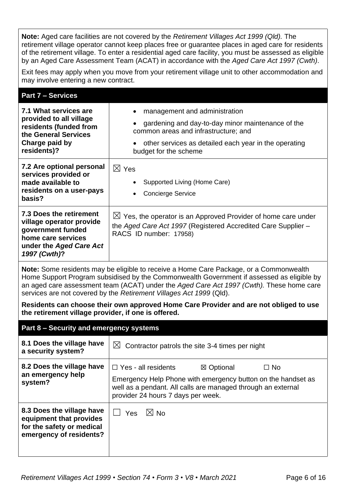**Note:** Aged care facilities are not covered by the *Retirement Villages Act 1999 (Qld).* The retirement village operator cannot keep places free or guarantee places in aged care for residents of the retirement village. To enter a residential aged care facility, you must be assessed as eligible by an Aged Care Assessment Team (ACAT) in accordance with the *Aged Care Act 1997 (Cwth)*.

Exit fees may apply when you move from your retirement village unit to other accommodation and may involve entering a new contract.

# **Part 7 – Services**

| 7.1 What services are<br>provided to all village<br>residents (funded from<br>the General Services<br>Charge paid by<br>residents)?       | management and administration<br>gardening and day-to-day minor maintenance of the<br>common areas and infrastructure; and<br>other services as detailed each year in the operating<br>budget for the scheme |
|-------------------------------------------------------------------------------------------------------------------------------------------|--------------------------------------------------------------------------------------------------------------------------------------------------------------------------------------------------------------|
| 7.2 Are optional personal<br>services provided or<br>made available to<br>residents on a user-pays<br>basis?                              | $\boxtimes$ Yes<br>Supported Living (Home Care)<br><b>Concierge Service</b>                                                                                                                                  |
| 7.3 Does the retirement<br>village operator provide<br>government funded<br>home care services<br>under the Aged Care Act<br>1997 (Cwth)? | $\boxtimes$ Yes, the operator is an Approved Provider of home care under<br>the Aged Care Act 1997 (Registered Accredited Care Supplier -<br>RACS ID number: 17958)                                          |

**Note:** Some residents may be eligible to receive a Home Care Package, or a Commonwealth Home Support Program subsidised by the Commonwealth Government if assessed as eligible by an aged care assessment team (ACAT) under the *Aged Care Act 1997 (Cwth).* These home care services are not covered by the *Retirement Villages Act 1999* (Qld).

**Residents can choose their own approved Home Care Provider and are not obliged to use the retirement village provider, if one is offered.**

#### **Part 8 – Security and emergency systems**

| 8.1 Does the village have<br>a security system?                                                              | $\boxtimes$ Contractor patrols the site 3-4 times per night                                                                                                                                                                 |  |  |
|--------------------------------------------------------------------------------------------------------------|-----------------------------------------------------------------------------------------------------------------------------------------------------------------------------------------------------------------------------|--|--|
| 8.2 Does the village have<br>an emergency help<br>system?                                                    | $\Box$ Yes - all residents<br>⊠ Optional<br>$\Box$ No<br>Emergency Help Phone with emergency button on the handset as<br>well as a pendant. All calls are managed through an external<br>provider 24 hours 7 days per week. |  |  |
| 8.3 Does the village have<br>equipment that provides<br>for the safety or medical<br>emergency of residents? | $\boxtimes$ No<br><b>Yes</b>                                                                                                                                                                                                |  |  |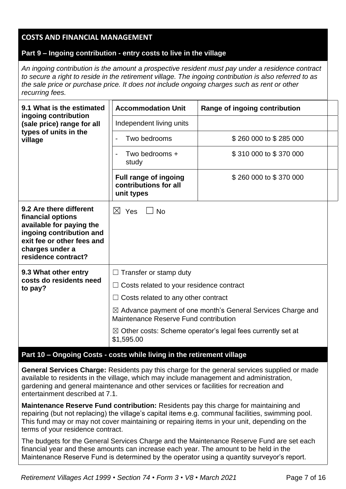# **COSTS AND FINANCIAL MANAGEMENT**

### **Part 9 – Ingoing contribution - entry costs to live in the village**

*An ingoing contribution is the amount a prospective resident must pay under a residence contract to secure a right to reside in the retirement village. The ingoing contribution is also referred to as the sale price or purchase price. It does not include ongoing charges such as rent or other recurring fees.*

| 9.1 What is the estimated                                                                                                                                                    | <b>Accommodation Unit</b><br>Range of ingoing contribution                                                      |                        |  |  |
|------------------------------------------------------------------------------------------------------------------------------------------------------------------------------|-----------------------------------------------------------------------------------------------------------------|------------------------|--|--|
| ingoing contribution<br>(sale price) range for all                                                                                                                           | Independent living units                                                                                        |                        |  |  |
| types of units in the<br>village                                                                                                                                             | Two bedrooms<br>$\overline{\phantom{a}}$                                                                        | \$260 000 to \$285 000 |  |  |
|                                                                                                                                                                              | Two bedrooms +<br>study                                                                                         | \$310 000 to \$370 000 |  |  |
|                                                                                                                                                                              | <b>Full range of ingoing</b><br>contributions for all<br>unit types                                             | \$260 000 to \$370 000 |  |  |
| 9.2 Are there different<br>financial options<br>available for paying the<br>ingoing contribution and<br>exit fee or other fees and<br>charges under a<br>residence contract? | $\boxtimes$ Yes<br>$\vert$ $\vert$ No                                                                           |                        |  |  |
| 9.3 What other entry                                                                                                                                                         | $\Box$ Transfer or stamp duty                                                                                   |                        |  |  |
| costs do residents need<br>to pay?                                                                                                                                           | $\Box$ Costs related to your residence contract                                                                 |                        |  |  |
|                                                                                                                                                                              | Costs related to any other contract                                                                             |                        |  |  |
|                                                                                                                                                                              | $\boxtimes$ Advance payment of one month's General Services Charge and<br>Maintenance Reserve Fund contribution |                        |  |  |
|                                                                                                                                                                              | $\boxtimes$ Other costs: Scheme operator's legal fees currently set at<br>\$1,595.00                            |                        |  |  |
| <i>.</i> .                                                                                                                                                                   | an dhe ti an i ta atan an taon ail na mara ta an an an an an titir                                              |                        |  |  |

# **Part 10 – Ongoing Costs - costs while living in the retirement village**

**General Services Charge:** Residents pay this charge for the general services supplied or made available to residents in the village, which may include management and administration, gardening and general maintenance and other services or facilities for recreation and entertainment described at 7.1.

**Maintenance Reserve Fund contribution:** Residents pay this charge for maintaining and repairing (but not replacing) the village's capital items e.g. communal facilities, swimming pool. This fund may or may not cover maintaining or repairing items in your unit, depending on the terms of your residence contract.

The budgets for the General Services Charge and the Maintenance Reserve Fund are set each financial year and these amounts can increase each year. The amount to be held in the Maintenance Reserve Fund is determined by the operator using a quantity surveyor's report.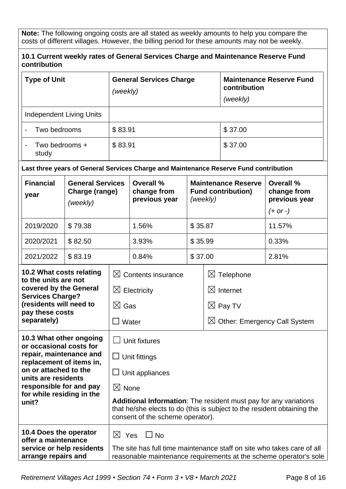**Note:** The following ongoing costs are all stated as weekly amounts to help you compare the costs of different villages. However, the billing period for these amounts may not be weekly.

| contribution<br><b>Type of Unit</b>                                        |                                                       | <b>General Services Charge</b><br>(weekly)                                                                                                                                             |                                                                                       |                                                                     | <b>Maintenance Reserve Fund</b><br>contribution |         |                                           |
|----------------------------------------------------------------------------|-------------------------------------------------------|----------------------------------------------------------------------------------------------------------------------------------------------------------------------------------------|---------------------------------------------------------------------------------------|---------------------------------------------------------------------|-------------------------------------------------|---------|-------------------------------------------|
|                                                                            |                                                       |                                                                                                                                                                                        |                                                                                       |                                                                     | (weekly)                                        |         |                                           |
| <b>Independent Living Units</b>                                            |                                                       |                                                                                                                                                                                        |                                                                                       |                                                                     |                                                 |         |                                           |
| Two bedrooms                                                               |                                                       | \$83.91                                                                                                                                                                                |                                                                                       |                                                                     |                                                 | \$37.00 |                                           |
| Two bedrooms +<br>study                                                    |                                                       | \$83.91                                                                                                                                                                                |                                                                                       |                                                                     |                                                 | \$37.00 |                                           |
|                                                                            |                                                       |                                                                                                                                                                                        | Last three years of General Services Charge and Maintenance Reserve Fund contribution |                                                                     |                                                 |         |                                           |
| <b>Financial</b><br>year                                                   | <b>General Services</b><br>Charge (range)<br>(weekly) |                                                                                                                                                                                        | <b>Overall %</b><br>change from<br>previous year                                      | <b>Maintenance Reserve</b><br><b>Fund contribution)</b><br>(weekly) |                                                 |         | Overall %<br>change from<br>previous year |
|                                                                            |                                                       |                                                                                                                                                                                        |                                                                                       |                                                                     |                                                 |         | $(+ or -)$                                |
| 2019/2020                                                                  | \$79.38                                               |                                                                                                                                                                                        | 1.56%                                                                                 | \$35.87                                                             |                                                 |         | 11.57%                                    |
| 2020/2021                                                                  | \$82.50                                               |                                                                                                                                                                                        | 3.93%                                                                                 | \$35.99                                                             |                                                 |         | 0.33%                                     |
| 2021/2022                                                                  | \$83.19                                               |                                                                                                                                                                                        | 0.84%                                                                                 | \$37.00                                                             |                                                 |         | 2.81%                                     |
| 10.2 What costs relating<br>to the units are not<br>covered by the General |                                                       | $\boxtimes$ Contents insurance                                                                                                                                                         |                                                                                       |                                                                     | $\boxtimes$ Telephone                           |         |                                           |
|                                                                            |                                                       | $\boxtimes$ Electricity                                                                                                                                                                |                                                                                       | $\boxtimes$<br>Internet                                             |                                                 |         |                                           |
| <b>Services Charge?</b><br>(residents will need to                         |                                                       | $\boxtimes$ Gas                                                                                                                                                                        |                                                                                       | $\boxtimes$ Pay TV                                                  |                                                 |         |                                           |
| pay these costs<br>separately)                                             |                                                       | Water                                                                                                                                                                                  |                                                                                       |                                                                     |                                                 |         | $\boxtimes$ Other: Emergency Call System  |
| 10.3 What other ongoing                                                    |                                                       |                                                                                                                                                                                        |                                                                                       |                                                                     |                                                 |         |                                           |
| or occasional costs for                                                    |                                                       | Unit fixtures                                                                                                                                                                          |                                                                                       |                                                                     |                                                 |         |                                           |
| repair, maintenance and<br>replacement of items in,                        |                                                       | $\Box$ Unit fittings                                                                                                                                                                   |                                                                                       |                                                                     |                                                 |         |                                           |
| on or attached to the<br>units are residents                               |                                                       | $\Box$ Unit appliances                                                                                                                                                                 |                                                                                       |                                                                     |                                                 |         |                                           |
| responsible for and pay                                                    |                                                       | $\boxtimes$ None                                                                                                                                                                       |                                                                                       |                                                                     |                                                 |         |                                           |
| for while residing in the<br>unit?                                         |                                                       | <b>Additional Information:</b> The resident must pay for any variations<br>that he/she elects to do (this is subject to the resident obtaining the<br>consent of the scheme operator). |                                                                                       |                                                                     |                                                 |         |                                           |
| 10.4 Does the operator                                                     |                                                       |                                                                                                                                                                                        | $\boxtimes$ Yes $\Box$ No                                                             |                                                                     |                                                 |         |                                           |
| offer a maintenance<br>service or help residents<br>arrange repairs and    |                                                       | The site has full time maintenance staff on site who takes care of all<br>reasonable maintenance requirements at the scheme operator's sole                                            |                                                                                       |                                                                     |                                                 |         |                                           |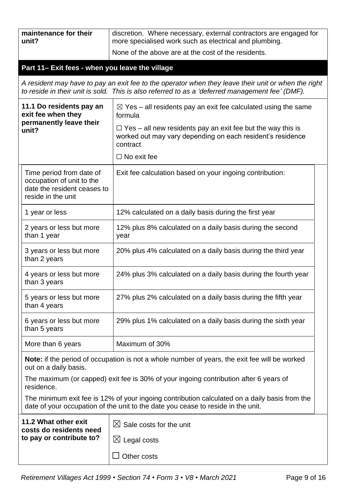| maintenance for their<br>unit?                                                                                                                                                    |                                                                                                            | discretion. Where necessary, external contractors are engaged for<br>more specialised work such as electrical and plumbing.                                                                            |  |  |  |  |
|-----------------------------------------------------------------------------------------------------------------------------------------------------------------------------------|------------------------------------------------------------------------------------------------------------|--------------------------------------------------------------------------------------------------------------------------------------------------------------------------------------------------------|--|--|--|--|
|                                                                                                                                                                                   |                                                                                                            | None of the above are at the cost of the residents.                                                                                                                                                    |  |  |  |  |
|                                                                                                                                                                                   | Part 11- Exit fees - when you leave the village                                                            |                                                                                                                                                                                                        |  |  |  |  |
|                                                                                                                                                                                   |                                                                                                            | A resident may have to pay an exit fee to the operator when they leave their unit or when the right<br>to reside in their unit is sold. This is also referred to as a 'deferred management fee' (DMF). |  |  |  |  |
| 11.1 Do residents pay an<br>exit fee when they<br>permanently leave their<br>unit?                                                                                                |                                                                                                            | $\boxtimes$ Yes – all residents pay an exit fee calculated using the same<br>formula                                                                                                                   |  |  |  |  |
|                                                                                                                                                                                   |                                                                                                            | $\Box$ Yes – all new residents pay an exit fee but the way this is<br>worked out may vary depending on each resident's residence<br>contract                                                           |  |  |  |  |
|                                                                                                                                                                                   |                                                                                                            | $\Box$ No exit fee                                                                                                                                                                                     |  |  |  |  |
|                                                                                                                                                                                   | Time period from date of<br>occupation of unit to the<br>date the resident ceases to<br>reside in the unit | Exit fee calculation based on your ingoing contribution:                                                                                                                                               |  |  |  |  |
|                                                                                                                                                                                   | 1 year or less                                                                                             | 12% calculated on a daily basis during the first year                                                                                                                                                  |  |  |  |  |
|                                                                                                                                                                                   | 2 years or less but more<br>than 1 year                                                                    | 12% plus 8% calculated on a daily basis during the second<br>year                                                                                                                                      |  |  |  |  |
| 3 years or less but more<br>than 2 years<br>4 years or less but more<br>than 3 years<br>5 years or less but more<br>than 4 years                                                  |                                                                                                            | 20% plus 4% calculated on a daily basis during the third year                                                                                                                                          |  |  |  |  |
|                                                                                                                                                                                   |                                                                                                            | 24% plus 3% calculated on a daily basis during the fourth year                                                                                                                                         |  |  |  |  |
|                                                                                                                                                                                   |                                                                                                            | 27% plus 2% calculated on a daily basis during the fifth year                                                                                                                                          |  |  |  |  |
|                                                                                                                                                                                   | 6 years or less but more<br>than 5 years                                                                   | 29% plus 1% calculated on a daily basis during the sixth year                                                                                                                                          |  |  |  |  |
|                                                                                                                                                                                   | More than 6 years                                                                                          | Maximum of 30%                                                                                                                                                                                         |  |  |  |  |
| out on a daily basis.                                                                                                                                                             |                                                                                                            | <b>Note:</b> if the period of occupation is not a whole number of years, the exit fee will be worked                                                                                                   |  |  |  |  |
| The maximum (or capped) exit fee is 30% of your ingoing contribution after 6 years of<br>residence.                                                                               |                                                                                                            |                                                                                                                                                                                                        |  |  |  |  |
| The minimum exit fee is 12% of your ingoing contribution calculated on a daily basis from the<br>date of your occupation of the unit to the date you cease to reside in the unit. |                                                                                                            |                                                                                                                                                                                                        |  |  |  |  |
|                                                                                                                                                                                   | 11.2 What other exit<br>costs do residents need                                                            | $\boxtimes$ Sale costs for the unit                                                                                                                                                                    |  |  |  |  |
|                                                                                                                                                                                   | to pay or contribute to?                                                                                   | Legal costs<br>$\boxtimes$                                                                                                                                                                             |  |  |  |  |
|                                                                                                                                                                                   |                                                                                                            | Other costs                                                                                                                                                                                            |  |  |  |  |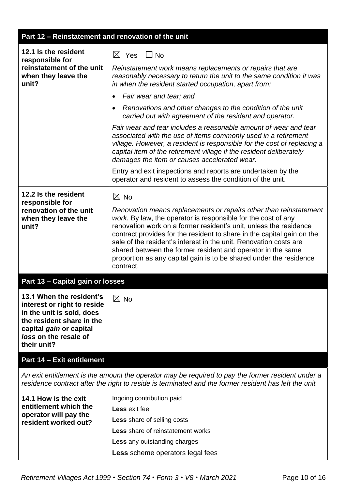| Part 12 - Reinstatement and renovation of the unit                                                                                                                                                         |                                                                                                                                                                                                                                                                                                                                                                                                                                                                                                          |  |  |  |
|------------------------------------------------------------------------------------------------------------------------------------------------------------------------------------------------------------|----------------------------------------------------------------------------------------------------------------------------------------------------------------------------------------------------------------------------------------------------------------------------------------------------------------------------------------------------------------------------------------------------------------------------------------------------------------------------------------------------------|--|--|--|
| 12.1 Is the resident<br>responsible for<br>reinstatement of the unit<br>when they leave the<br>unit?                                                                                                       | $\boxtimes$ Yes $\Box$ No<br>Reinstatement work means replacements or repairs that are<br>reasonably necessary to return the unit to the same condition it was<br>in when the resident started occupation, apart from:                                                                                                                                                                                                                                                                                   |  |  |  |
|                                                                                                                                                                                                            | Fair wear and tear; and                                                                                                                                                                                                                                                                                                                                                                                                                                                                                  |  |  |  |
|                                                                                                                                                                                                            | Renovations and other changes to the condition of the unit<br>carried out with agreement of the resident and operator.                                                                                                                                                                                                                                                                                                                                                                                   |  |  |  |
|                                                                                                                                                                                                            | Fair wear and tear includes a reasonable amount of wear and tear<br>associated with the use of items commonly used in a retirement<br>village. However, a resident is responsible for the cost of replacing a<br>capital item of the retirement village if the resident deliberately<br>damages the item or causes accelerated wear.                                                                                                                                                                     |  |  |  |
|                                                                                                                                                                                                            | Entry and exit inspections and reports are undertaken by the<br>operator and resident to assess the condition of the unit.                                                                                                                                                                                                                                                                                                                                                                               |  |  |  |
| 12.2 Is the resident                                                                                                                                                                                       | $\boxtimes$ No                                                                                                                                                                                                                                                                                                                                                                                                                                                                                           |  |  |  |
| responsible for<br>renovation of the unit<br>when they leave the<br>unit?                                                                                                                                  | Renovation means replacements or repairs other than reinstatement<br>work. By law, the operator is responsible for the cost of any<br>renovation work on a former resident's unit, unless the residence<br>contract provides for the resident to share in the capital gain on the<br>sale of the resident's interest in the unit. Renovation costs are<br>shared between the former resident and operator in the same<br>proportion as any capital gain is to be shared under the residence<br>contract. |  |  |  |
| Part 13 - Capital gain or losses                                                                                                                                                                           |                                                                                                                                                                                                                                                                                                                                                                                                                                                                                                          |  |  |  |
| 13.1 When the resident's<br>interest or right to reside<br>in the unit is sold, does<br>the resident share in the<br>capital gain or capital<br>loss on the resale of<br>their unit?                       | $\boxtimes$ No                                                                                                                                                                                                                                                                                                                                                                                                                                                                                           |  |  |  |
| <b>Part 14 - Exit entitlement</b>                                                                                                                                                                          |                                                                                                                                                                                                                                                                                                                                                                                                                                                                                                          |  |  |  |
| An exit entitlement is the amount the operator may be required to pay the former resident under a<br>residence contract after the right to reside is terminated and the former resident has left the unit. |                                                                                                                                                                                                                                                                                                                                                                                                                                                                                                          |  |  |  |
| 14.1 How is the exit<br>entitlement which the<br>operator will pay the<br>resident worked out?                                                                                                             | Ingoing contribution paid<br>Less exit fee<br><b>Less</b> share of selling costs<br><b>Less</b> share of reinstatement works<br><b>Less</b> any outstanding charges                                                                                                                                                                                                                                                                                                                                      |  |  |  |
|                                                                                                                                                                                                            | Less scheme operators legal fees                                                                                                                                                                                                                                                                                                                                                                                                                                                                         |  |  |  |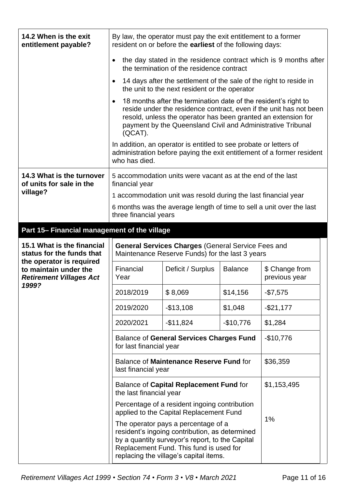| 14.2 When is the exit<br>entitlement payable?                                       | By law, the operator must pay the exit entitlement to a former<br>resident on or before the earliest of the following days:                                                                                                                                                      |                                                                                                                     |                |                                                                        |  |
|-------------------------------------------------------------------------------------|----------------------------------------------------------------------------------------------------------------------------------------------------------------------------------------------------------------------------------------------------------------------------------|---------------------------------------------------------------------------------------------------------------------|----------------|------------------------------------------------------------------------|--|
|                                                                                     | the day stated in the residence contract which is 9 months after<br>the termination of the residence contract                                                                                                                                                                    |                                                                                                                     |                |                                                                        |  |
|                                                                                     |                                                                                                                                                                                                                                                                                  | 14 days after the settlement of the sale of the right to reside in<br>the unit to the next resident or the operator |                |                                                                        |  |
|                                                                                     | 18 months after the termination date of the resident's right to<br>reside under the residence contract, even if the unit has not been<br>resold, unless the operator has been granted an extension for<br>payment by the Queensland Civil and Administrative Tribunal<br>(QCAT). |                                                                                                                     |                |                                                                        |  |
|                                                                                     | who has died.                                                                                                                                                                                                                                                                    | In addition, an operator is entitled to see probate or letters of                                                   |                | administration before paying the exit entitlement of a former resident |  |
| 14.3 What is the turnover<br>of units for sale in the                               | financial year                                                                                                                                                                                                                                                                   | 5 accommodation units were vacant as at the end of the last                                                         |                |                                                                        |  |
| village?                                                                            |                                                                                                                                                                                                                                                                                  | 1 accommodation unit was resold during the last financial year                                                      |                |                                                                        |  |
|                                                                                     | three financial years                                                                                                                                                                                                                                                            | 6 months was the average length of time to sell a unit over the last                                                |                |                                                                        |  |
| Part 15- Financial management of the village                                        |                                                                                                                                                                                                                                                                                  |                                                                                                                     |                |                                                                        |  |
| 15.1 What is the financial<br>status for the funds that                             | <b>General Services Charges (General Service Fees and</b><br>Maintenance Reserve Funds) for the last 3 years                                                                                                                                                                     |                                                                                                                     |                |                                                                        |  |
| the operator is required<br>to maintain under the<br><b>Retirement Villages Act</b> | Financial<br>Year                                                                                                                                                                                                                                                                | Deficit / Surplus                                                                                                   | <b>Balance</b> | \$ Change from<br>previous year                                        |  |
| 1999?                                                                               | 2018/2019                                                                                                                                                                                                                                                                        | \$8,069                                                                                                             | \$14,156       | $-$7,575$                                                              |  |
|                                                                                     | 2019/2020                                                                                                                                                                                                                                                                        | $-$13,108$                                                                                                          | \$1,048        | $-$21,177$                                                             |  |
|                                                                                     | 2020/2021                                                                                                                                                                                                                                                                        | $-$11,824$                                                                                                          | $-$10,776$     | \$1,284                                                                |  |
|                                                                                     | <b>Balance of General Services Charges Fund</b><br>$-$10,776$<br>for last financial year                                                                                                                                                                                         |                                                                                                                     |                |                                                                        |  |
|                                                                                     | Balance of Maintenance Reserve Fund for<br>\$36,359<br>last financial year                                                                                                                                                                                                       |                                                                                                                     |                |                                                                        |  |
|                                                                                     | Balance of Capital Replacement Fund for<br>the last financial year                                                                                                                                                                                                               | \$1,153,495                                                                                                         |                |                                                                        |  |
|                                                                                     | Percentage of a resident ingoing contribution<br>applied to the Capital Replacement Fund                                                                                                                                                                                         |                                                                                                                     |                |                                                                        |  |
|                                                                                     | The operator pays a percentage of a<br>resident's ingoing contribution, as determined<br>by a quantity surveyor's report, to the Capital<br>Replacement Fund. This fund is used for<br>replacing the village's capital items.                                                    | 1%                                                                                                                  |                |                                                                        |  |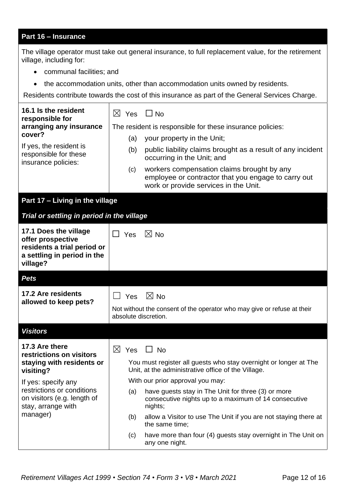# **Part 16 – Insurance**

The village operator must take out general insurance, to full replacement value, for the retirement village, including for:

- communal facilities; and
- the accommodation units, other than accommodation units owned by residents.

Residents contribute towards the cost of this insurance as part of the General Services Charge.

| 16.1 Is the resident<br>responsible for                                         | $\boxtimes$ Yes<br>$\Box$ No                                                                                                                      |  |  |  |  |
|---------------------------------------------------------------------------------|---------------------------------------------------------------------------------------------------------------------------------------------------|--|--|--|--|
| arranging any insurance                                                         | The resident is responsible for these insurance policies:                                                                                         |  |  |  |  |
| cover?                                                                          | (a)<br>your property in the Unit;                                                                                                                 |  |  |  |  |
| If yes, the resident is<br>responsible for these<br>insurance policies:         | public liability claims brought as a result of any incident<br>(b)<br>occurring in the Unit; and                                                  |  |  |  |  |
|                                                                                 | workers compensation claims brought by any<br>(c)<br>employee or contractor that you engage to carry out<br>work or provide services in the Unit. |  |  |  |  |
| Part 17 - Living in the village                                                 |                                                                                                                                                   |  |  |  |  |
| Trial or settling in period in the village                                      |                                                                                                                                                   |  |  |  |  |
| 17.1 Does the village<br>offer prospective                                      | $\boxtimes$ No<br>$\Box$ Yes                                                                                                                      |  |  |  |  |
| residents a trial period or<br>a settling in period in the<br>village?          |                                                                                                                                                   |  |  |  |  |
| <b>Pets</b>                                                                     |                                                                                                                                                   |  |  |  |  |
| <b>17.2 Are residents</b>                                                       | $\boxtimes$ No<br>Yes                                                                                                                             |  |  |  |  |
| allowed to keep pets?                                                           | Not without the consent of the operator who may give or refuse at their<br>absolute discretion.                                                   |  |  |  |  |
| <b>Visitors</b>                                                                 |                                                                                                                                                   |  |  |  |  |
| 17.3 Are there<br>restrictions on visitors                                      | ⊠<br>Yes<br><b>No</b>                                                                                                                             |  |  |  |  |
| staying with residents or<br>visiting?                                          | You must register all guests who stay overnight or longer at The<br>Unit, at the administrative office of the Village.                            |  |  |  |  |
| If yes: specify any                                                             | With our prior approval you may:                                                                                                                  |  |  |  |  |
| restrictions or conditions<br>on visitors (e.g. length of<br>stay, arrange with | have guests stay in The Unit for three (3) or more<br>(a)<br>consecutive nights up to a maximum of 14 consecutive<br>nights;                      |  |  |  |  |
| manager)                                                                        | allow a Visitor to use The Unit if you are not staying there at<br>(b)<br>the same time;                                                          |  |  |  |  |
|                                                                                 | have more than four (4) guests stay overnight in The Unit on<br>(c)<br>any one night.                                                             |  |  |  |  |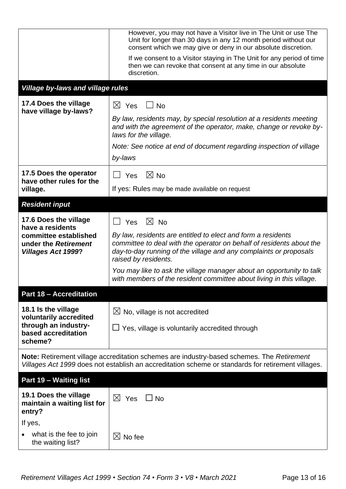|                                                                                                | However, you may not have a Visitor live in The Unit or use The<br>Unit for longer than 30 days in any 12 month period without our<br>consent which we may give or deny in our absolute discretion.                               |
|------------------------------------------------------------------------------------------------|-----------------------------------------------------------------------------------------------------------------------------------------------------------------------------------------------------------------------------------|
|                                                                                                | If we consent to a Visitor staying in The Unit for any period of time<br>then we can revoke that consent at any time in our absolute<br>discretion.                                                                               |
| <b>Village by-laws and village rules</b>                                                       |                                                                                                                                                                                                                                   |
| 17.4 Does the village<br>have village by-laws?                                                 | $\boxtimes$<br>Yes<br><b>No</b>                                                                                                                                                                                                   |
|                                                                                                | By law, residents may, by special resolution at a residents meeting<br>and with the agreement of the operator, make, change or revoke by-<br>laws for the village.                                                                |
|                                                                                                | Note: See notice at end of document regarding inspection of village                                                                                                                                                               |
|                                                                                                | by-laws                                                                                                                                                                                                                           |
| 17.5 Does the operator<br>have other rules for the                                             | $\boxtimes$ No<br>Yes                                                                                                                                                                                                             |
| village.                                                                                       | If yes: Rules may be made available on request                                                                                                                                                                                    |
| <b>Resident input</b>                                                                          |                                                                                                                                                                                                                                   |
| 17.6 Does the village                                                                          | $\boxtimes$ No<br>Yes                                                                                                                                                                                                             |
| have a residents<br>committee established<br>under the Retirement<br><b>Villages Act 1999?</b> | By law, residents are entitled to elect and form a residents<br>committee to deal with the operator on behalf of residents about the<br>day-to-day running of the village and any complaints or proposals<br>raised by residents. |
|                                                                                                | You may like to ask the village manager about an opportunity to talk<br>with members of the resident committee about living in this village.                                                                                      |
| <b>Part 18 - Accreditation</b>                                                                 |                                                                                                                                                                                                                                   |
| 18.1 Is the village<br>voluntarily accredited                                                  | $\boxtimes$ No, village is not accredited                                                                                                                                                                                         |
| through an industry-<br>based accreditation<br>scheme?                                         | $\Box$ Yes, village is voluntarily accredited through                                                                                                                                                                             |
|                                                                                                | Note: Retirement village accreditation schemes are industry-based schemes. The Retirement<br>Villages Act 1999 does not establish an accreditation scheme or standards for retirement villages.                                   |
| Part 19 - Waiting list                                                                         |                                                                                                                                                                                                                                   |
| 19.1 Does the village<br>maintain a waiting list for<br>entry?                                 | $\boxtimes$ Yes<br>$\Box$ No                                                                                                                                                                                                      |
| If yes,                                                                                        |                                                                                                                                                                                                                                   |
| what is the fee to join<br>the waiting list?                                                   | $\boxtimes$ No fee                                                                                                                                                                                                                |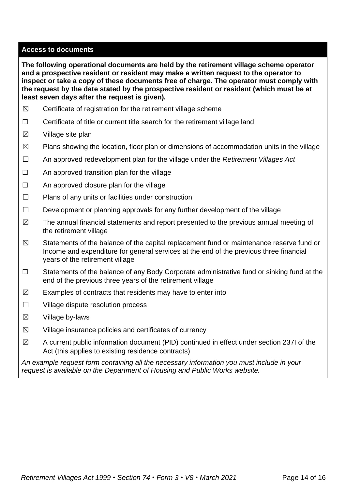#### **Access to documents**

**The following operational documents are held by the retirement village scheme operator and a prospective resident or resident may make a written request to the operator to inspect or take a copy of these documents free of charge. The operator must comply with the request by the date stated by the prospective resident or resident (which must be at least seven days after the request is given).**

- $\boxtimes$  Certificate of registration for the retirement village scheme
- □ Certificate of title or current title search for the retirement village land
- $\boxtimes$  Village site plan
- $\boxtimes$  Plans showing the location, floor plan or dimensions of accommodation units in the village
- ☐ An approved redevelopment plan for the village under the *Retirement Villages Act*
- $\Box$  An approved transition plan for the village
- $\Box$  An approved closure plan for the village
- ☐ Plans of any units or facilities under construction
- $\Box$  Development or planning approvals for any further development of the village
- $\boxtimes$  The annual financial statements and report presented to the previous annual meeting of the retirement village
- $\boxtimes$  Statements of the balance of the capital replacement fund or maintenance reserve fund or Income and expenditure for general services at the end of the previous three financial years of the retirement village
- ☐ Statements of the balance of any Body Corporate administrative fund or sinking fund at the end of the previous three years of the retirement village
- $\boxtimes$  Examples of contracts that residents may have to enter into
- ☐ Village dispute resolution process
- $\boxtimes$  Village by-laws
- $\boxtimes$  Village insurance policies and certificates of currency
- ☒ A current public information document (PID) continued in effect under section 237I of the Act (this applies to existing residence contracts)

*An example request form containing all the necessary information you must include in your request is available on the Department of Housing and Public Works website.*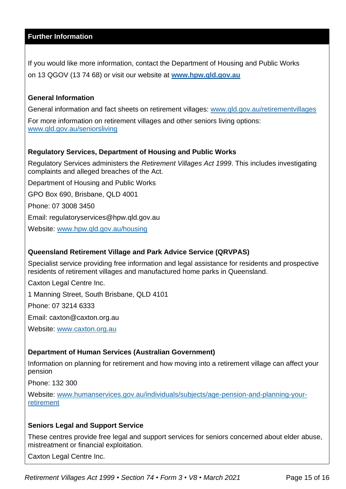### **Further Information**

If you would like more information, contact the Department of Housing and Public Works on 13 QGOV (13 74 68) or visit our website at **[www.hpw.qld.gov.au](http://www.hpw.qld.gov.au/)**

#### **General Information**

General information and fact sheets on retirement villages: [www.qld.gov.au/retirementvillages](http://www.qld.gov.au/retirementvillages) For more information on retirement villages and other seniors living options:

[www.qld.gov.au/seniorsliving](http://www.qld.gov.au/seniorsliving)

#### **Regulatory Services, Department of Housing and Public Works**

Regulatory Services administers the *Retirement Villages Act 1999*. This includes investigating complaints and alleged breaches of the Act.

Department of Housing and Public Works

GPO Box 690, Brisbane, QLD 4001

Phone: 07 3008 3450

Email: regulatoryservices@hpw.qld.gov.au

Website: [www.hpw.qld.gov.au/housing](http://www.hpw.qld.gov.au/housing)

# **Queensland Retirement Village and Park Advice Service (QRVPAS)**

Specialist service providing free information and legal assistance for residents and prospective residents of retirement villages and manufactured home parks in Queensland.

Caxton Legal Centre Inc.

1 Manning Street, South Brisbane, QLD 4101

Phone: 07 3214 6333

Email: caxton@caxton.org.au

Website: [www.caxton.org.au](http://www.caxton.org.au/)

# **Department of Human Services (Australian Government)**

Information on planning for retirement and how moving into a retirement village can affect your pension

Phone: 132 300

Website: [www.humanservices.gov.au/individuals/subjects/age-pension-and-planning-your](file:///C:/Users/juliet.gross/AppData/Roaming/Microsoft/Word/www.humanservices.gov.au/individuals/subjects/age-pension-and-planning-your-retirement)[retirement](file:///C:/Users/juliet.gross/AppData/Roaming/Microsoft/Word/www.humanservices.gov.au/individuals/subjects/age-pension-and-planning-your-retirement)

#### **Seniors Legal and Support Service**

These centres provide free legal and support services for seniors concerned about elder abuse, mistreatment or financial exploitation.

Caxton Legal Centre Inc.